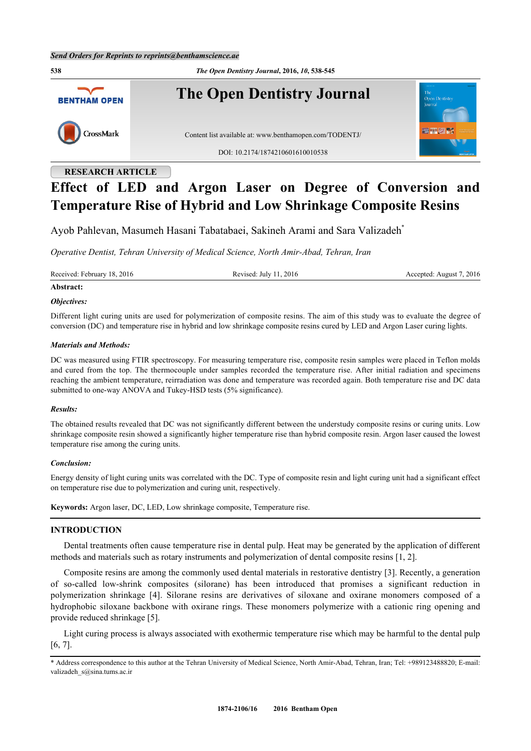

## **RESEARCH ARTICLE**

# **Effect of LED and Argon Laser on Degree of Conversion and Temperature Rise of Hybrid and Low Shrinkage Composite Resins**

Ayob Pahlevan, Masumeh Hasani Tabatabaei, Sakineh Arami and Sara Valizadeh[\\*](#page-0-0)

*Operative Dentist, Tehran University of Medical Science, North Amir-Abad, Tehran, Iran*

Received: February 18, 2016 **Revised: August 7, 2016** Revised: July 11, 2016 **Accepted: August 7, 2016** 

## **Abstract:**

#### *Objectives:*

Different light curing units are used for polymerization of composite resins. The aim of this study was to evaluate the degree of conversion (DC) and temperature rise in hybrid and low shrinkage composite resins cured by LED and Argon Laser curing lights.

#### *Materials and Methods:*

DC was measured using FTIR spectroscopy. For measuring temperature rise, composite resin samples were placed in Teflon molds and cured from the top. The thermocouple under samples recorded the temperature rise. After initial radiation and specimens reaching the ambient temperature, reirradiation was done and temperature was recorded again. Both temperature rise and DC data submitted to one-way ANOVA and Tukey-HSD tests (5% significance).

#### *Results:*

The obtained results revealed that DC was not significantly different between the understudy composite resins or curing units. Low shrinkage composite resin showed a significantly higher temperature rise than hybrid composite resin. Argon laser caused the lowest temperature rise among the curing units.

#### *Conclusion:*

Energy density of light curing units was correlated with the DC. Type of composite resin and light curing unit had a significant effect on temperature rise due to polymerization and curing unit, respectively.

**Keywords:** Argon laser, DC, LED, Low shrinkage composite, Temperature rise.

## **INTRODUCTION**

Dental treatments often cause temperature rise in dental pulp. Heat may be generated by the application of different methods and materials such as rotary instruments and polymerization of dental composite resins [[1,](#page-6-0) [2\]](#page-6-1).

Composite resins are among the commonly used dental materials in restorative dentistry [\[3\]](#page-6-2). Recently, a generation of so-called low-shrink composites (silorane) has been introduced that promises a significant reduction in polymerization shrinkage[[4](#page-6-3)]. Silorane resins are derivatives of siloxane and oxirane monomers composed of a hydrophobic siloxane backbone with oxirane rings. These monomers polymerize with a cationic ring opening and provide reduced shrinkage [[5\]](#page-6-4).

Light curing process is always associated with exothermic temperature rise which may be harmful to the dental pulp [\[6](#page-6-5), [7](#page-6-6)].

<span id="page-0-0"></span><sup>\*</sup> Address correspondence to this author at the Tehran University of Medical Science, North Amir-Abad, Tehran, Iran; Tel: +989123488820; E-mail: [valizadeh\\_s@sina.tums.ac.ir](mailto:valizadeh_s@sina.tums.ac.ir)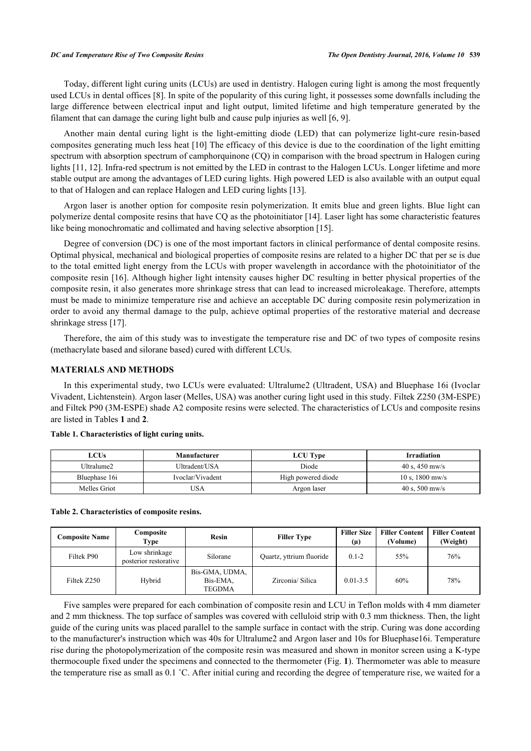#### *DC and Temperature Rise of Two Composite Resins The Open Dentistry Journal, 2016, Volume 10* **539**

Today, different light curing units (LCUs) are used in dentistry. Halogen curing light is among the most frequently used LCUs in dental offices [\[8](#page-6-7)]. In spite of the popularity of this curing light, it possesses some downfalls including the large difference between electrical input and light output, limited lifetime and high temperature generated by the filament that can damage the curing light bulb and cause pulp injuries as well [\[6](#page-6-5), [9](#page-6-8)].

Another main dental curing light is the light-emitting diode (LED) that can polymerize light-cure resin-based composites generating much less heat [[10\]](#page-6-9) The efficacy of this device is due to the coordination of the light emitting spectrum with absorption spectrum of camphorquinone (CQ) in comparison with the broad spectrum in Halogen curing lights [[11,](#page-6-10) [12\]](#page-6-11). Infra-red spectrum is not emitted by the LED in contrast to the Halogen LCUs. Longer lifetime and more stable output are among the advantages of LED curing lights. High powered LED is also available with an output equal to that of Halogen and can replace Halogen and LED curing lights [[13\]](#page-6-12).

Argon laser is another option for composite resin polymerization. It emits blue and green lights. Blue light can polymerize dental composite resins that have CQ as the photoinitiator [\[14](#page-6-13)]. Laser light has some characteristic features like being monochromatic and collimated and having selective absorption [\[15](#page-6-14)].

Degree of conversion (DC) is one of the most important factors in clinical performance of dental composite resins. Optimal physical, mechanical and biological properties of composite resins are related to a higher DC that per se is due to the total emitted light energy from the LCUs with proper wavelength in accordance with the photoinitiator of the composite resin [16]. Although higher light intensity causes higher DC resulting in better physical properties of the composite resin, it also generates more shrinkage stress that can lead to increased microleakage. Therefore, attempts must be made to minimize temperature rise and achieve an acceptable DC during composite resin polymerization in order to avoid any thermal damage to the pulp, achieve optimal properties of the restorative material and decrease shrinkage stress [\[17](#page-6-15)].

Therefore, the aim of this study was to investigate the temperature rise and DC of two types of composite resins (methacrylate based and silorane based) cured with different LCUs.

#### **MATERIALS AND METHODS**

In this experimental study, two LCUs were evaluated: Ultralume2 (Ultradent, USA) and Bluephase 16i (Ivoclar Vivadent, Lichtenstein). Argon laser (Melles, USA) was another curing light used in this study. Filtek Z250 (3M-ESPE) and Filtek P90 (3M-ESPE) shade A2 composite resins were selected. The characteristics of LCUs and composite resins are listed in Tables **[1](#page-1-0)** and **[2](#page-1-1)**.

| LCUs          | Manufacturer     | <b>LCU</b> Type    | <b>Irradiation</b>           |
|---------------|------------------|--------------------|------------------------------|
| Ultralume2    | Ultradent/USA    | Diode              | 40 s, 450 mw/s               |
| Bluephase 16i | Ivoclar/Vivadent | High powered diode | $10 s$ , $1800 \text{ mW/s}$ |
| Melles Griot  | 'JSA             | Argon laser        | 40 s, 500 mw/s               |

#### <span id="page-1-0"></span>**Table 1. Characteristics of light curing units.**

#### <span id="page-1-1"></span>**Table 2. Characteristics of composite resins.**

| <b>Composite Name</b> | Composite<br>Type                      | <b>Resin</b>                                | <b>Filler Type</b>       | <b>Filler Size</b><br>$(\mu)$ | <b>Filler Content</b><br>(Volume) | <b>Filler Content</b><br>(Weight) |
|-----------------------|----------------------------------------|---------------------------------------------|--------------------------|-------------------------------|-----------------------------------|-----------------------------------|
| Filtek P90            | Low shrinkage<br>posterior restorative | Silorane                                    | Quartz, yttrium fluoride | $0.1 - 2$                     | 55%                               | 76%                               |
| Filtek Z250           | Hybrid                                 | Bis-GMA, UDMA,<br>Bis-EMA.<br><b>TEGDMA</b> | Zirconia/Silica          | $0.01 - 3.5$                  | 60%                               | 78%                               |

Five samples were prepared for each combination of composite resin and LCU in Teflon molds with 4 mm diameter and 2 mm thickness. The top surface of samples was covered with celluloid strip with 0.3 mm thickness. Then, the light guide of the curing units was placed parallel to the sample surface in contact with the strip. Curing was done according to the manufacturer's instruction which was 40s for Ultralume2 and Argon laser and 10s for Bluephase16i. Temperature rise during the photopolymerization of the composite resin was measured and shown in monitor screen using a K-type thermocouple fixed under the specimens and connected to the thermometer (Fig. **[1](#page-2-0)**). Thermometer was able to measure the temperature rise as small as 0.1 ˚C. After initial curing and recording the degree of temperature rise, we waited for a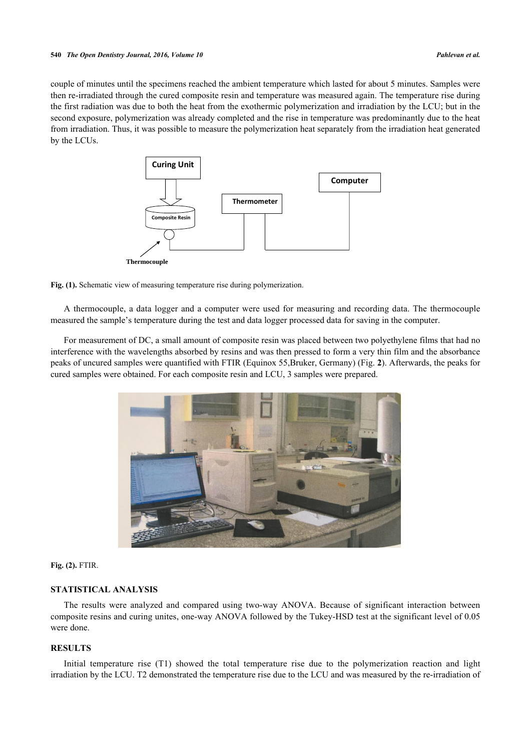<span id="page-2-0"></span>couple of minutes until the specimens reached the ambient temperature which lasted for about 5 minutes. Samples were then re-irradiated through the cured composite resin and temperature was measured again. The temperature rise during the first radiation was due to both the heat from the exothermic polymerization and irradiation by the LCU; but in the second exposure, polymerization was already completed and the rise in temperature was predominantly due to the heat from irradiation. Thus, it was possible to measure the polymerization heat separately from the irradiation heat generated by the LCUs.





A thermocouple, a data logger and a computer were used for measuring and recording data. The thermocouple measured the sample's temperature during the test and data logger processed data for saving in the computer.

<span id="page-2-1"></span>For measurement of DC, a small amount of composite resin was placed between two polyethylene films that had no interference with the wavelengths absorbed by resins and was then pressed to form a very thin film and the absorbance peaks of uncured samples were quantified with FTIR (Equinox 55,Bruker, Germany) (Fig. **[2](#page-2-1)**). Afterwards, the peaks for cured samples were obtained. For each composite resin and LCU, 3 samples were prepared.



**Fig. (2).** FTIR.

## **STATISTICAL ANALYSIS**

The results were analyzed and compared using two-way ANOVA. Because of significant interaction between composite resins and curing unites, one-way ANOVA followed by the Tukey-HSD test at the significant level of 0.05 were done.

## **RESULTS**

Initial temperature rise (T1) showed the total temperature rise due to the polymerization reaction and light irradiation by the LCU. T2 demonstrated the temperature rise due to the LCU and was measured by the re-irradiation of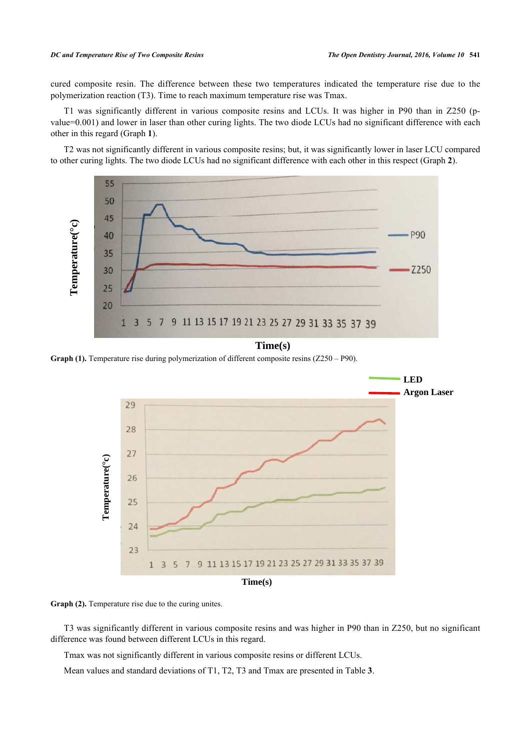#### *DC and Temperature Rise of Two Composite Resins The Open Dentistry Journal, 2016, Volume 10* **541**

cured composite resin. The difference between these two temperatures indicated the temperature rise due to the polymerization reaction (T3). Time to reach maximum temperature rise was Tmax.

T1 was significantly different in various composite resins and LCUs. It was higher in P90 than in Z250 (pvalue=0.001) and lower in laser than other curing lights. The two diode LCUs had no significant difference with each other in this regard (Graph **1**).

T2 was not significantly different in various composite resins; but, it was significantly lower in laser LCU compared to other curing lights. The two diode LCUs had no significant difference with each other in this respect (Graph **2**).



## **Time(s)**

**Graph (1).** Temperature rise during polymerization of different composite resins (Z250 – P90).



Graph (2). Temperature rise due to the curing unites.

T3 was significantly different in various composite resins and was higher in P90 than in Z250, but no significant difference was found between different LCUs in this regard.

Tmax was not significantly different in various composite resins or different LCUs.

<span id="page-3-0"></span>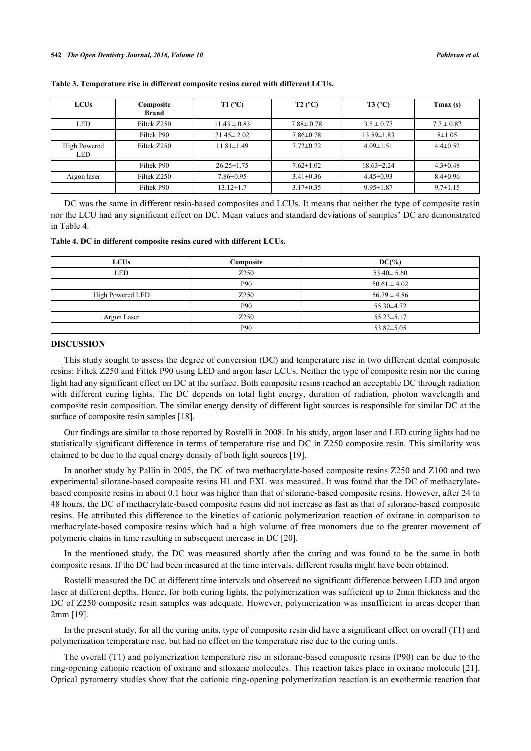| <b>LCUs</b>         | Composite<br><b>Brand</b> | $T1$ (°C)        | $T2$ (°C)       | $T3$ (°C)        | $T$ max $(s)$  |
|---------------------|---------------------------|------------------|-----------------|------------------|----------------|
| <b>LED</b>          | Filtek Z250               | $11.43 \pm 0.83$ | $7.88 \pm 0.78$ | $3.5 \pm 0.77$   | $7.7 \pm 0.82$ |
|                     | Filtek P90                | $21.45 \pm 2.02$ | $7.86 \pm 0.78$ | $13.59 \pm 1.83$ | $8 + 1.05$     |
| High Powered<br>LED | Filtek Z250               | $11.81 \pm 1.49$ | $7.72 \pm 0.72$ | $4.09 \pm 1.51$  | $4.4 \pm 0.52$ |
|                     | Filtek P90                | $26.25 \pm 1.75$ | $7.62 \pm 1.02$ | $18.63 \pm 2.24$ | $4.3 \pm 0.48$ |
| Argon laser         | Filtek Z250               | $7.86 \pm 0.95$  | $3.41 \pm 0.36$ | $4.45 \pm 0.93$  | $8.4 \pm 0.96$ |
|                     | Filtek P90                | $13.12 \pm 1.7$  | $3.17 \pm 0.35$ | $9.95 \pm 1.87$  | $9.7 \pm 1.15$ |

**Table 3. Temperature rise in different composite resins cured with different LCUs.**

DC was the same in different resin-based composites and LCUs. It means that neither the type of composite resin nor the LCU had any significant effect on DC. Mean values and standard deviations of samples' DC are demonstrated in Table **[4](#page-4-0)**.

<span id="page-4-0"></span>**Table 4. DC in different composite resins cured with different LCUs.**

| <b>LCUs</b>      | Composite | $DC(\%)$         |
|------------------|-----------|------------------|
| <b>LED</b>       | Z250      | $53.40 \pm 5.60$ |
|                  | P90       | $50.61 \pm 4.02$ |
| High Powered LED | Z250      | $56.79 \pm 4.86$ |
|                  | P90       | $55.30\pm4.72$   |
| Argon Laser      | Z250      | $55.23 \pm 5.17$ |
|                  | P90       | $53.82 \pm 5.05$ |

#### **DISCUSSION**

This study sought to assess the degree of conversion (DC) and temperature rise in two different dental composite resins: Filtek Z250 and Filtek P90 using LED and argon laser LCUs. Neither the type of composite resin nor the curing light had any significant effect on DC at the surface. Both composite resins reached an acceptable DC through radiation with different curing lights. The DC depends on total light energy, duration of radiation, photon wavelength and composite resin composition. The similar energy density of different light sources is responsible for similar DC at the surface of composite resin samples [\[18](#page-6-16)].

Our findings are similar to those reported by Rostelli in 2008. In his study, argon laser and LED curing lights had no statistically significant difference in terms of temperature rise and DC in Z250 composite resin. This similarity was claimed to be due to the equal energy density of both light sources [\[19](#page-6-17)].

In another study by Pallin in 2005, the DC of two methacrylate-based composite resins Z250 and Z100 and two experimental silorane-based composite resins H1 and EXL was measured. It was found that the DC of methacrylatebased composite resins in about 0.1 hour was higher than that of silorane-based composite resins. However, after 24 to 48 hours, the DC of methacrylate-based composite resins did not increase as fast as that of silorane-based composite resins. He attributed this difference to the kinetics of cationic polymerization reaction of oxirane in comparison to methacrylate-based composite resins which had a high volume of free monomers due to the greater movement of polymeric chains in time resulting in subsequent increase in DC [\[20](#page-6-18)].

In the mentioned study, the DC was measured shortly after the curing and was found to be the same in both composite resins. If the DC had been measured at the time intervals, different results might have been obtained.

Rostelli measured the DC at different time intervals and observed no significant difference between LED and argon laser at different depths. Hence, for both curing lights, the polymerization was sufficient up to 2mm thickness and the DC of Z250 composite resin samples was adequate. However, polymerization was insufficient in areas deeper than 2mm [\[19](#page-6-17)].

In the present study, for all the curing units, type of composite resin did have a significant effect on overall (T1) and polymerization temperature rise, but had no effect on the temperature rise due to the curing units.

The overall (T1) and polymerization temperature rise in silorane-based composite resins (P90) can be due to the ring-opening cationic reaction of oxirane and siloxane molecules. This reaction takes place in oxirane molecule [\[21\]](#page-7-0). Optical pyrometry studies show that the cationic ring-opening polymerization reaction is an exothermic reaction that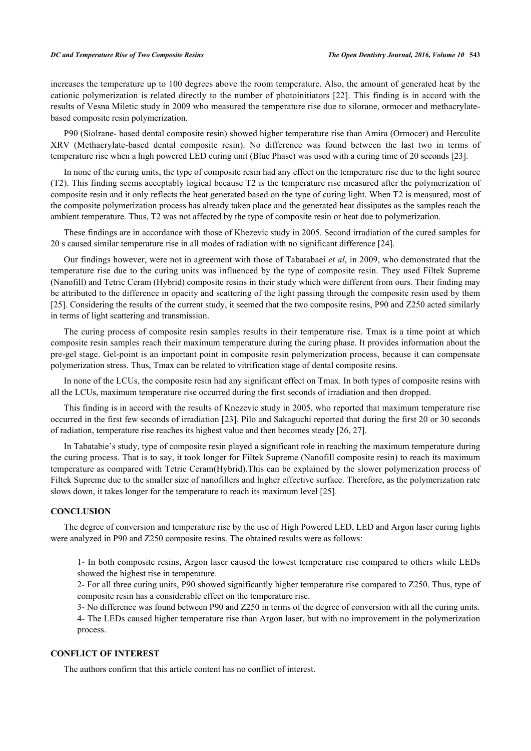#### *DC and Temperature Rise of Two Composite Resins The Open Dentistry Journal, 2016, Volume 10* **543**

increases the temperature up to 100 degrees above the room temperature. Also, the amount of generated heat by the cationic polymerization is related directly to the number of photoinitiators [[22\]](#page-7-1). This finding is in accord with the results of Vesna Miletic study in 2009 who measured the temperature rise due to silorane, ormocer and methacrylatebased composite resin polymerization.

P90 (Siolrane- based dental composite resin) showed higher temperature rise than Amira (Ormocer) and Herculite XRV (Methacrylate-based dental composite resin). No difference was found between the last two in terms of temperature rise when a high powered LED curing unit (Blue Phase) was used with a curing time of 20 seconds [\[23](#page-7-2)].

In none of the curing units, the type of composite resin had any effect on the temperature rise due to the light source (T2). This finding seems acceptably logical because T2 is the temperature rise measured after the polymerization of composite resin and it only reflects the heat generated based on the type of curing light. When T2 is measured, most of the composite polymerization process has already taken place and the generated heat dissipates as the samples reach the ambient temperature. Thus, T2 was not affected by the type of composite resin or heat due to polymerization.

These findings are in accordance with those of Khezevic study in 2005. Second irradiation of the cured samples for 20 s caused similar temperature rise in all modes of radiation with no significant difference [[24\]](#page-7-3).

Our findings however, were not in agreement with those of Tabatabaei *et al*, in 2009, who demonstrated that the temperature rise due to the curing units was influenced by the type of composite resin. They used Filtek Supreme (Nanofill) and Tetric Ceram (Hybrid) composite resins in their study which were different from ours. Their finding may be attributed to the difference in opacity and scattering of the light passing through the composite resin used by them [\[25](#page-7-4)]. Considering the results of the current study, it seemed that the two composite resins, P90 and Z250 acted similarly in terms of light scattering and transmission.

The curing process of composite resin samples results in their temperature rise. Tmax is a time point at which composite resin samples reach their maximum temperature during the curing phase. It provides information about the pre-gel stage. Gel-point is an important point in composite resin polymerization process, because it can compensate polymerization stress. Thus, Tmax can be related to vitrification stage of dental composite resins.

In none of the LCUs, the composite resin had any significant effect on Tmax. In both types of composite resins with all the LCUs, maximum temperature rise occurred during the first seconds of irradiation and then dropped.

This finding is in accord with the results of Knezevic study in 2005, who reported that maximum temperature rise occurred in the first few seconds of irradiation [[23](#page-7-2)]. Pilo and Sakaguchi reported that during the first 20 or 30 seconds of radiation, temperature rise reaches its highest value and then becomes steady [[26,](#page-7-5) [27\]](#page-7-6).

In Tabatabie's study, type of composite resin played a significant role in reaching the maximum temperature during the curing process. That is to say, it took longer for Filtek Supreme (Nanofill composite resin) to reach its maximum temperature as compared with Tetric Ceram(Hybrid).This can be explained by the slower polymerization process of Filtek Supreme due to the smaller size of nanofillers and higher effective surface. Therefore, as the polymerization rate slows down, it takes longer for the temperature to reach its maximum level [\[25](#page-7-4)].

#### **CONCLUSION**

The degree of conversion and temperature rise by the use of High Powered LED, LED and Argon laser curing lights were analyzed in P90 and Z250 composite resins. The obtained results were as follows:

1- In both composite resins, Argon laser caused the lowest temperature rise compared to others while LEDs showed the highest rise in temperature.

2- For all three curing units, P90 showed significantly higher temperature rise compared to Z250. Thus, type of composite resin has a considerable effect on the temperature rise.

3- No difference was found between P90 and Z250 in terms of the degree of conversion with all the curing units.

4- The LEDs caused higher temperature rise than Argon laser, but with no improvement in the polymerization process.

## **CONFLICT OF INTEREST**

The authors confirm that this article content has no conflict of interest.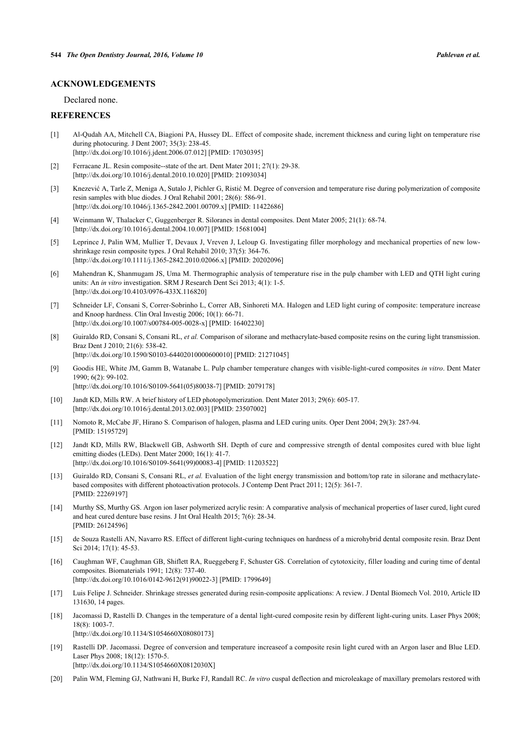#### **ACKNOWLEDGEMENTS**

Declared none.

#### **REFERENCES**

- <span id="page-6-0"></span>[1] Al-Qudah AA, Mitchell CA, Biagioni PA, Hussey DL. Effect of composite shade, increment thickness and curing light on temperature rise during photocuring. J Dent 2007; 35(3): 238-45. [\[http://dx.doi.org/10.1016/j.jdent.2006.07.012](http://dx.doi.org/10.1016/j.jdent.2006.07.012)] [PMID: [17030395\]](http://www.ncbi.nlm.nih.gov/pubmed/17030395)
- <span id="page-6-1"></span>[2] Ferracane JL. Resin composite--state of the art. Dent Mater 2011; 27(1): 29-38. [\[http://dx.doi.org/10.1016/j.dental.2010.10.020\]](http://dx.doi.org/10.1016/j.dental.2010.10.020) [PMID: [21093034](http://www.ncbi.nlm.nih.gov/pubmed/21093034)]
- <span id="page-6-2"></span>[3] Knezević A, Tarle Z, Meniga A, Sutalo J, Pichler G, Ristić M. Degree of conversion and temperature rise during polymerization of composite resin samples with blue diodes. J Oral Rehabil 2001; 28(6): 586-91. [\[http://dx.doi.org/10.1046/j.1365-2842.2001.00709.x\]](http://dx.doi.org/10.1046/j.1365-2842.2001.00709.x) [PMID: [11422686](http://www.ncbi.nlm.nih.gov/pubmed/11422686)]
- <span id="page-6-3"></span>[4] Weinmann W, Thalacker C, Guggenberger R. Siloranes in dental composites. Dent Mater 2005; 21(1): 68-74. [\[http://dx.doi.org/10.1016/j.dental.2004.10.007\]](http://dx.doi.org/10.1016/j.dental.2004.10.007) [PMID: [15681004](http://www.ncbi.nlm.nih.gov/pubmed/15681004)]
- <span id="page-6-4"></span>[5] Leprince J, Palin WM, Mullier T, Devaux J, Vreven J, Leloup G. Investigating filler morphology and mechanical properties of new lowshrinkage resin composite types. J Oral Rehabil 2010; 37(5): 364-76. [\[http://dx.doi.org/10.1111/j.1365-2842.2010.02066.x\]](http://dx.doi.org/10.1111/j.1365-2842.2010.02066.x) [PMID: [20202096](http://www.ncbi.nlm.nih.gov/pubmed/20202096)]
- <span id="page-6-5"></span>[6] Mahendran K, Shanmugam JS, Uma M. Thermographic analysis of temperature rise in the pulp chamber with LED and QTH light curing units: An *in vitro* investigation. SRM J Research Dent Sci 2013; 4(1): 1-5. [\[http://dx.doi.org/10.4103/0976-433X.116820](http://dx.doi.org/10.4103/0976-433X.116820)]
- <span id="page-6-6"></span>[7] Schneider LF, Consani S, Correr-Sobrinho L, Correr AB, Sinhoreti MA. Halogen and LED light curing of composite: temperature increase and Knoop hardness. Clin Oral Investig 2006; 10(1): 66-71. [\[http://dx.doi.org/10.1007/s00784-005-0028-x\]](http://dx.doi.org/10.1007/s00784-005-0028-x) [PMID: [16402230](http://www.ncbi.nlm.nih.gov/pubmed/16402230)]
- <span id="page-6-7"></span>[8] Guiraldo RD, Consani S, Consani RL, *et al.* Comparison of silorane and methacrylate-based composite resins on the curing light transmission. Braz Dent J 2010; 21(6): 538-42. [\[http://dx.doi.org/10.1590/S0103-64402010000600010\]](http://dx.doi.org/10.1590/S0103-64402010000600010) [PMID: [21271045](http://www.ncbi.nlm.nih.gov/pubmed/21271045)]
- <span id="page-6-8"></span>[9] Goodis HE, White JM, Gamm B, Watanabe L. Pulp chamber temperature changes with visible-light-cured composites *in vitro*. Dent Mater 1990; 6(2): 99-102. [\[http://dx.doi.org/10.1016/S0109-5641\(05\)80038-7\]](http://dx.doi.org/10.1016/S0109-5641(05)80038-7) [PMID: [2079178](http://www.ncbi.nlm.nih.gov/pubmed/2079178)]
- <span id="page-6-9"></span>[10] Jandt KD, Mills RW. A brief history of LED photopolymerization. Dent Mater 2013; 29(6): 605-17. [\[http://dx.doi.org/10.1016/j.dental.2013.02.003\]](http://dx.doi.org/10.1016/j.dental.2013.02.003) [PMID: [23507002](http://www.ncbi.nlm.nih.gov/pubmed/23507002)]
- <span id="page-6-10"></span>[11] Nomoto R, McCabe JF, Hirano S. Comparison of halogen, plasma and LED curing units. Oper Dent 2004; 29(3): 287-94. [PMID: [15195729\]](http://www.ncbi.nlm.nih.gov/pubmed/15195729)
- <span id="page-6-11"></span>[12] Jandt KD, Mills RW, Blackwell GB, Ashworth SH. Depth of cure and compressive strength of dental composites cured with blue light emitting diodes (LEDs). Dent Mater 2000; 16(1): 41-7. [\[http://dx.doi.org/10.1016/S0109-5641\(99\)00083-4\]](http://dx.doi.org/10.1016/S0109-5641(99)00083-4) [PMID: [11203522](http://www.ncbi.nlm.nih.gov/pubmed/11203522)]
- <span id="page-6-12"></span>[13] Guiraldo RD, Consani S, Consani RL, *et al.* Evaluation of the light energy transmission and bottom/top rate in silorane and methacrylatebased composites with different photoactivation protocols. J Contemp Dent Pract 2011; 12(5): 361-7. [PMID: [22269197\]](http://www.ncbi.nlm.nih.gov/pubmed/22269197)
- <span id="page-6-13"></span>[14] Murthy SS, Murthy GS. Argon ion laser polymerized acrylic resin: A comparative analysis of mechanical properties of laser cured, light cured and heat cured denture base resins. J Int Oral Health 2015; 7(6): 28-34. [PMID: [26124596\]](http://www.ncbi.nlm.nih.gov/pubmed/26124596)
- <span id="page-6-14"></span>[15] de Souza Rastelli AN, Navarro RS. Effect of different light-curing techniques on hardness of a microhybrid dental composite resin. Braz Dent Sci 2014; 17(1): 45-53.
- [16] Caughman WF, Caughman GB, Shiflett RA, Rueggeberg F, Schuster GS. Correlation of cytotoxicity, filler loading and curing time of dental composites. Biomaterials 1991; 12(8): 737-40. [\[http://dx.doi.org/10.1016/0142-9612\(91\)90022-3](http://dx.doi.org/10.1016/0142-9612(91)90022-3)] [PMID: [1799649](http://www.ncbi.nlm.nih.gov/pubmed/1799649)]
- <span id="page-6-15"></span>[17] Luis Felipe J. Schneider. Shrinkage stresses generated during resin-composite applications: A review. J Dental Biomech Vol. 2010, Article ID 131630, 14 pages.
- <span id="page-6-16"></span>[18] Jacomassi D, Rastelli D. Changes in the temperature of a dental light-cured composite resin by different light-curing units. Laser Phys 2008; 18(8): 1003-7. [\[http://dx.doi.org/10.1134/S1054660X08080173](http://dx.doi.org/10.1134/S1054660X08080173)]
- <span id="page-6-17"></span>[19] Rastelli DP. Jacomassi. Degree of conversion and temperature increaseof a composite resin light cured with an Argon laser and Blue LED. Laser Phys 2008; 18(12): 1570-5. [\[http://dx.doi.org/10.1134/S1054660X0812030X\]](http://dx.doi.org/10.1134/S1054660X0812030X)
- <span id="page-6-18"></span>[20] Palin WM, Fleming GJ, Nathwani H, Burke FJ, Randall RC. *In vitro* cuspal deflection and microleakage of maxillary premolars restored with